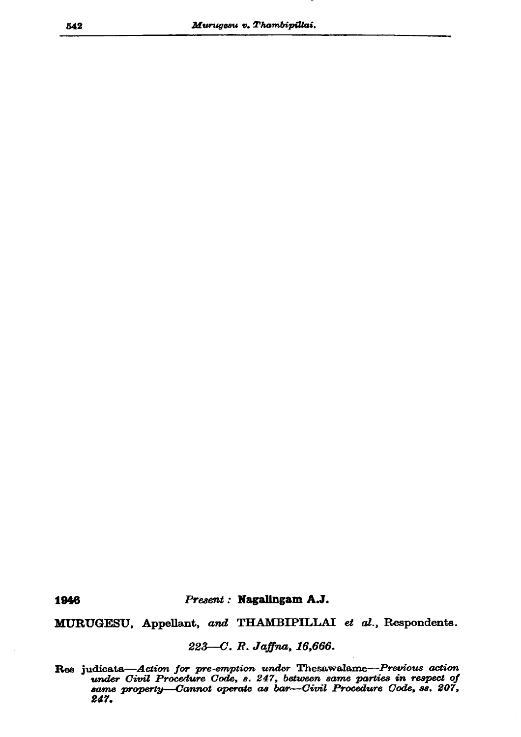Present: Nagalingam A.J.

MURUGESU, Appellant, and THAMBIPILLAI et al., Respondents.

223-C. R. Jaffna, 16,666.

Res judicate—Action for pre-emption under Thesawalame—Previous action<br>under Civil Procedure Code, s. 247, between same parties in respect of<br>same property—Cannot operate as bar—Civil Procedure Code, ss. 207, 247.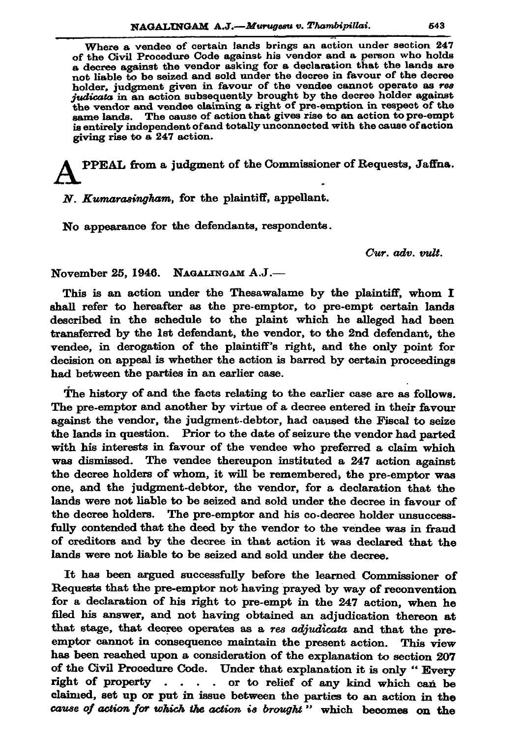Where a vendee of certain lands brings an action under section 247 of the Civil Procedure Code against his vendor and a person who holds a decree against the vendor asking for a declaration that the lands are not liable to be seized and sold under the decree in favour of the decree holder, judgment given in favour of the vendee cannot operate as res judicata in an action subsequently brought by the decree holder against the vendor and vendee claiming a right of pre-emption in respect of the same lands. The cause of action that gives rise to an action to pre-empt is entirely independent of and totally unconnected with the cause of action giving rise to a 247 action.

PPEAL from a judgment of the Commissioner of Requests, Jaffna.

N. Kumarasingham, for the plaintiff, appellant.

No appearance for the defendants, respondents.

Cur. adv. vult.

November 25, 1946. NAGALINGAM A.J.-

This is an action under the Thesawalame by the plaintiff, whom I shall refer to hereafter as the pre-emptor, to pre-empt certain lands described in the schedule to the plaint which he alleged had been transferred by the 1st defendant, the vendor, to the 2nd defendant, the vendee, in derogation of the plaintiff's right, and the only point for decision on appeal is whether the action is barred by certain proceedings had between the parties in an earlier case.

The history of and the facts relating to the earlier case are as follows. The pre-emptor and another by virtue of a decree entered in their favour against the vendor, the judgment-debtor, had caused the Fiscal to seize the lands in question. Prior to the date of seizure the vendor had parted with his interests in favour of the vendee who preferred a claim which was dismissed. The vendee thereupon instituted a 247 action against the decree holders of whom, it will be remembered, the pre-emptor was one, and the judgment-debtor, the vendor, for a declaration that the lands were not liable to be seized and sold under the decree in favour of The pre-emptor and his co-decree holder unsuccessthe decree holders. fully contended that the deed by the vendor to the vendee was in fraud of creditors and by the decree in that action it was declared that the lands were not liable to be seized and sold under the decree.

It has been argued successfully before the learned Commissioner of Requests that the pre-emptor not having prayed by way of reconvention for a declaration of his right to pre-empt in the 247 action, when he filed his answer, and not having obtained an adjudication thereon at that stage, that decree operates as a res adjudicata and that the preemptor cannot in consequence maintain the present action. This view has been reached upon a consideration of the explanation to section 207 of the Civil Procedure Code. Under that explanation it is only "Every right of property . . . . or to relief of any kind which can be claimed, set up or put in issue between the parties to an action in the cause of action for which the action is brought" which becomes on the